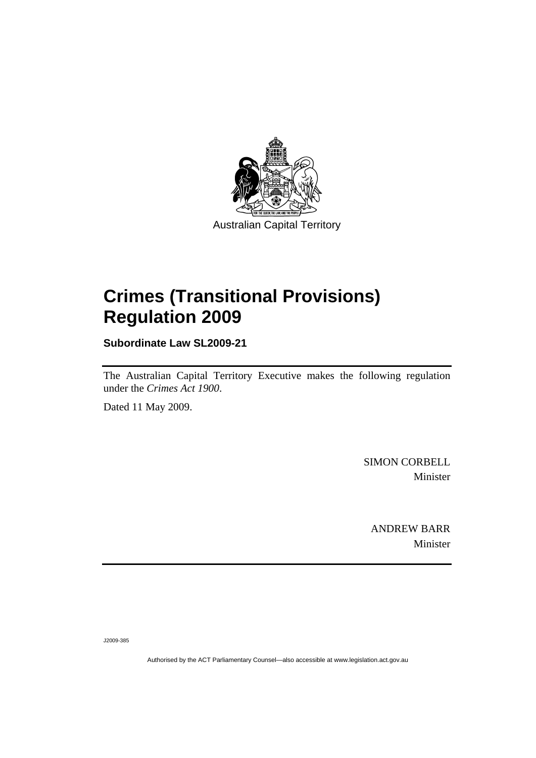

# **[Crimes \(Transitional Provisions\)](#page-2-0)  [Regulation 2009](#page-2-0)**

**Subordinate Law SL2009-21** 

The Australian Capital Territory Executive makes the following regulation under the *[Crimes Act 1900](#page-2-0)*.

Dated 11 May 2009.

SIMON CORBELL Minister

ANDREW BARR Minister

J2009-385

Authorised by the ACT Parliamentary Counsel—also accessible at www.legislation.act.gov.au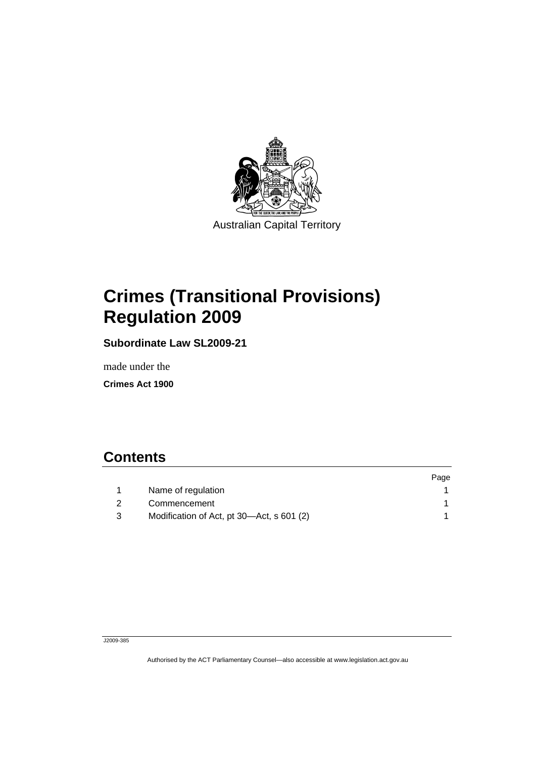<span id="page-2-0"></span>

# **Crimes (Transitional Provisions) Regulation 2009**

**Subordinate Law SL2009-21** 

made under the

**Crimes Act 1900** 

### **Contents**

|     |                                           | Page |
|-----|-------------------------------------------|------|
|     | Name of regulation                        |      |
| -2  | Commencement                              |      |
| - 3 | Modification of Act, pt 30—Act, s 601 (2) |      |

#### J2009-385

Authorised by the ACT Parliamentary Counsel—also accessible at www.legislation.act.gov.au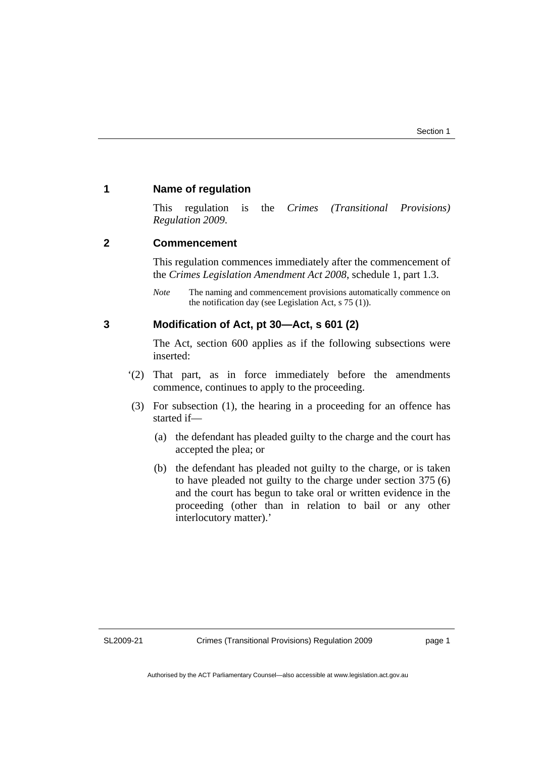#### <span id="page-4-0"></span>**1 Name of regulation**

This regulation is the *Crimes (Transitional Provisions) Regulation 2009*.

#### **2 Commencement**

This regulation commences immediately after the commencement of the *Crimes Legislation Amendment Act 2008*, schedule 1, part 1.3.

*Note* The naming and commencement provisions automatically commence on the notification day (see Legislation Act, s 75 (1)).

#### **3 Modification of Act, pt 30—Act, s 601 (2)**

The Act, section 600 applies as if the following subsections were inserted:

- '(2) That part, as in force immediately before the amendments commence, continues to apply to the proceeding.
- (3) For subsection (1), the hearing in a proceeding for an offence has started if—
	- (a) the defendant has pleaded guilty to the charge and the court has accepted the plea; or
	- (b) the defendant has pleaded not guilty to the charge, or is taken to have pleaded not guilty to the charge under section 375 (6) and the court has begun to take oral or written evidence in the proceeding (other than in relation to bail or any other interlocutory matter).'

SL2009-21

page 1